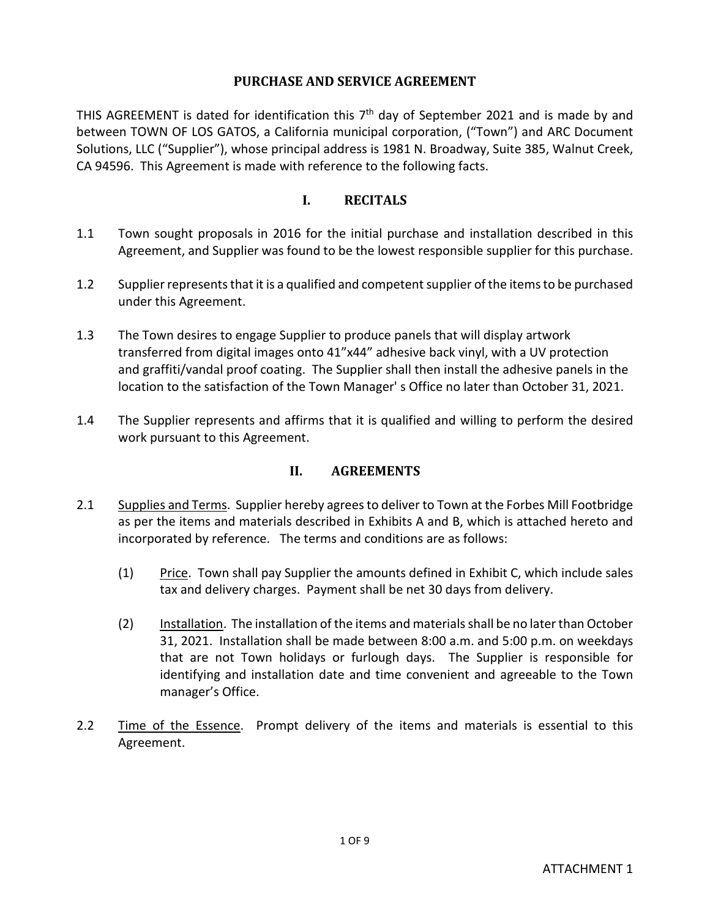### **PURCHASE AND SERVICE AGREEMENT**

THIS AGREEMENT is dated for identification this  $7<sup>th</sup>$  day of September 2021 and is made by and between TOWN OF LOS GATOS, a California municipal corporation, ("Town") and ARC Document Solutions, LLC ("Supplier"), whose principal address is 1981 N. Broadway, Suite 385, Walnut Creek, CA 94596. This Agreement is made with reference to the following facts.

## **I. RECITALS**

- 1.1 Town sought proposals in 2016 for the initial purchase and installation described in this Agreement, and Supplier was found to be the lowest responsible supplier for this purchase.
- 1.2 Supplier represents that it is a qualified and competent supplier of the items to be purchased under this Agreement.
- 1.3 The Town desires to engage Supplier to produce panels that will display artwork transferred from digital images onto 41"x44" adhesive back vinyl, with a UV protection and graffiti/vandal proof coating. The Supplier shall then install the adhesive panels in the location to the satisfaction of the Town Manager' s Office no later than October 31, 2021.
- 1.4 The Supplier represents and affirms that it is qualified and willing to perform the desired work pursuant to this Agreement.

## **II. AGREEMENTS**

- 2.1 Supplies and Terms. Supplier hereby agrees to deliver to Town at the Forbes Mill Footbridge as per the items and materials described in Exhibits A and B, which is attached hereto and incorporated by reference. The terms and conditions are as follows:
	- (1) Price. Town shall pay Supplier the amounts defined in Exhibit C, which include sales tax and delivery charges. Payment shall be net 30 days from delivery.
	- (2) Installation. The installation of the items and materials shall be no later than October 31, 2021. Installation shall be made between 8:00 a.m. and 5:00 p.m. on weekdays that are not Town holidays or furlough days. The Supplier is responsible for identifying and installation date and time convenient and agreeable to the Town manager's Office.
- 2.2 Time of the Essence. Prompt delivery of the items and materials is essential to this Agreement.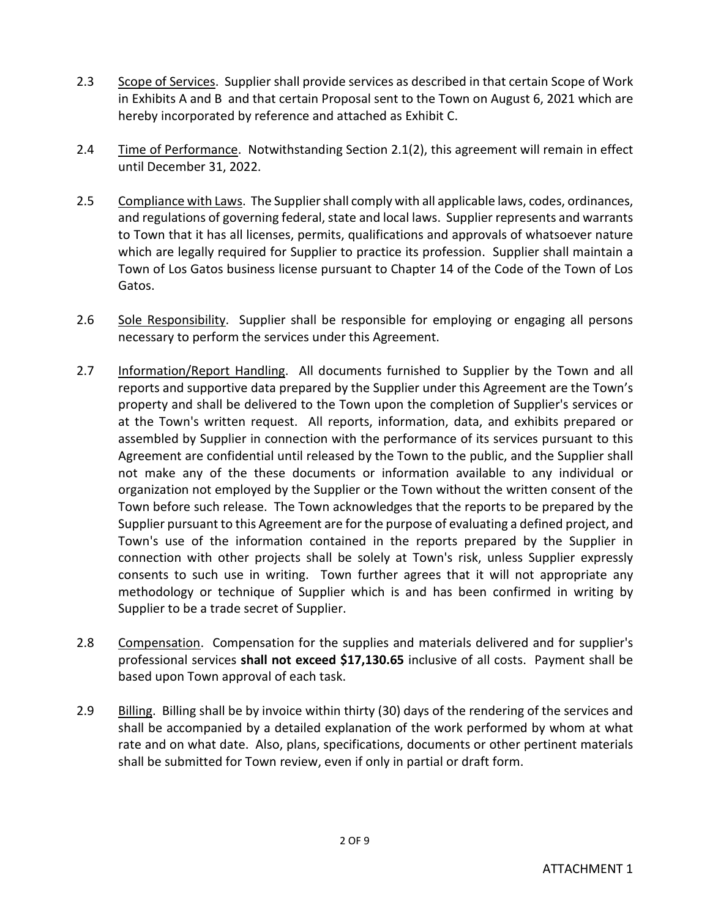- 2.3 Scope of Services. Supplier shall provide services as described in that certain Scope of Work in Exhibits A and B and that certain Proposal sent to the Town on August 6, 2021 which are hereby incorporated by reference and attached as Exhibit C.
- 2.4 Time of Performance. Notwithstanding Section 2.1(2), this agreement will remain in effect until December 31, 2022.
- 2.5 Compliance with Laws. The Supplier shall comply with all applicable laws, codes, ordinances, and regulations of governing federal, state and local laws. Supplier represents and warrants to Town that it has all licenses, permits, qualifications and approvals of whatsoever nature which are legally required for Supplier to practice its profession. Supplier shall maintain a Town of Los Gatos business license pursuant to Chapter 14 of the Code of the Town of Los Gatos.
- 2.6 Sole Responsibility. Supplier shall be responsible for employing or engaging all persons necessary to perform the services under this Agreement.
- 2.7 Information/Report Handling. All documents furnished to Supplier by the Town and all reports and supportive data prepared by the Supplier under this Agreement are the Town's property and shall be delivered to the Town upon the completion of Supplier's services or at the Town's written request. All reports, information, data, and exhibits prepared or assembled by Supplier in connection with the performance of its services pursuant to this Agreement are confidential until released by the Town to the public, and the Supplier shall not make any of the these documents or information available to any individual or organization not employed by the Supplier or the Town without the written consent of the Town before such release. The Town acknowledges that the reports to be prepared by the Supplier pursuant to this Agreement are for the purpose of evaluating a defined project, and Town's use of the information contained in the reports prepared by the Supplier in connection with other projects shall be solely at Town's risk, unless Supplier expressly consents to such use in writing. Town further agrees that it will not appropriate any methodology or technique of Supplier which is and has been confirmed in writing by Supplier to be a trade secret of Supplier.
- 2.8 Compensation. Compensation for the supplies and materials delivered and for supplier's professional services **shall not exceed \$17,130.65** inclusive of all costs. Payment shall be based upon Town approval of each task.
- 2.9 Billing. Billing shall be by invoice within thirty (30) days of the rendering of the services and shall be accompanied by a detailed explanation of the work performed by whom at what rate and on what date. Also, plans, specifications, documents or other pertinent materials shall be submitted for Town review, even if only in partial or draft form.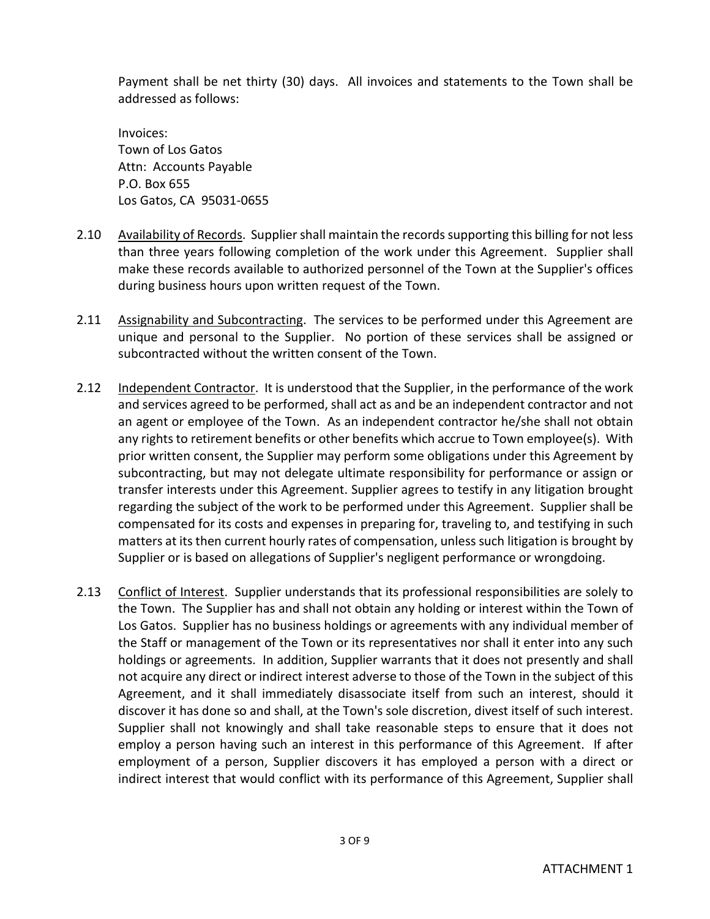Payment shall be net thirty (30) days. All invoices and statements to the Town shall be addressed as follows:

Invoices: Town of Los Gatos Attn: Accounts Payable P.O. Box 655 Los Gatos, CA 95031-0655

- 2.10 Availability of Records. Supplier shall maintain the records supporting this billing for not less than three years following completion of the work under this Agreement. Supplier shall make these records available to authorized personnel of the Town at the Supplier's offices during business hours upon written request of the Town.
- 2.11 Assignability and Subcontracting. The services to be performed under this Agreement are unique and personal to the Supplier. No portion of these services shall be assigned or subcontracted without the written consent of the Town.
- 2.12 Independent Contractor. It is understood that the Supplier, in the performance of the work and services agreed to be performed, shall act as and be an independent contractor and not an agent or employee of the Town. As an independent contractor he/she shall not obtain any rights to retirement benefits or other benefits which accrue to Town employee(s). With prior written consent, the Supplier may perform some obligations under this Agreement by subcontracting, but may not delegate ultimate responsibility for performance or assign or transfer interests under this Agreement. Supplier agrees to testify in any litigation brought regarding the subject of the work to be performed under this Agreement. Supplier shall be compensated for its costs and expenses in preparing for, traveling to, and testifying in such matters at its then current hourly rates of compensation, unless such litigation is brought by Supplier or is based on allegations of Supplier's negligent performance or wrongdoing.
- 2.13 Conflict of Interest. Supplier understands that its professional responsibilities are solely to the Town. The Supplier has and shall not obtain any holding or interest within the Town of Los Gatos. Supplier has no business holdings or agreements with any individual member of the Staff or management of the Town or its representatives nor shall it enter into any such holdings or agreements. In addition, Supplier warrants that it does not presently and shall not acquire any direct or indirect interest adverse to those of the Town in the subject of this Agreement, and it shall immediately disassociate itself from such an interest, should it discover it has done so and shall, at the Town's sole discretion, divest itself of such interest. Supplier shall not knowingly and shall take reasonable steps to ensure that it does not employ a person having such an interest in this performance of this Agreement. If after employment of a person, Supplier discovers it has employed a person with a direct or indirect interest that would conflict with its performance of this Agreement, Supplier shall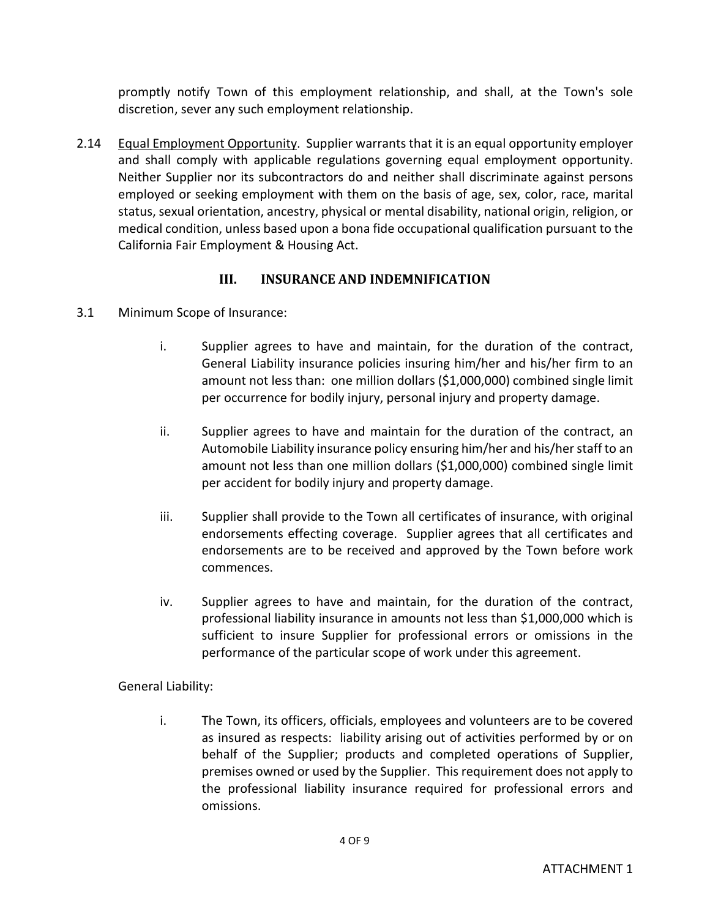promptly notify Town of this employment relationship, and shall, at the Town's sole discretion, sever any such employment relationship.

2.14 Equal Employment Opportunity. Supplier warrants that it is an equal opportunity employer and shall comply with applicable regulations governing equal employment opportunity. Neither Supplier nor its subcontractors do and neither shall discriminate against persons employed or seeking employment with them on the basis of age, sex, color, race, marital status, sexual orientation, ancestry, physical or mental disability, national origin, religion, or medical condition, unless based upon a bona fide occupational qualification pursuant to the California Fair Employment & Housing Act.

# **III. INSURANCE AND INDEMNIFICATION**

- 3.1 Minimum Scope of Insurance:
	- i. Supplier agrees to have and maintain, for the duration of the contract, General Liability insurance policies insuring him/her and his/her firm to an amount not less than: one million dollars (\$1,000,000) combined single limit per occurrence for bodily injury, personal injury and property damage.
	- ii. Supplier agrees to have and maintain for the duration of the contract, an Automobile Liability insurance policy ensuring him/her and his/her staff to an amount not less than one million dollars (\$1,000,000) combined single limit per accident for bodily injury and property damage.
	- iii. Supplier shall provide to the Town all certificates of insurance, with original endorsements effecting coverage. Supplier agrees that all certificates and endorsements are to be received and approved by the Town before work commences.
	- iv. Supplier agrees to have and maintain, for the duration of the contract, professional liability insurance in amounts not less than \$1,000,000 which is sufficient to insure Supplier for professional errors or omissions in the performance of the particular scope of work under this agreement.

## General Liability:

i. The Town, its officers, officials, employees and volunteers are to be covered as insured as respects: liability arising out of activities performed by or on behalf of the Supplier; products and completed operations of Supplier, premises owned or used by the Supplier. This requirement does not apply to the professional liability insurance required for professional errors and omissions.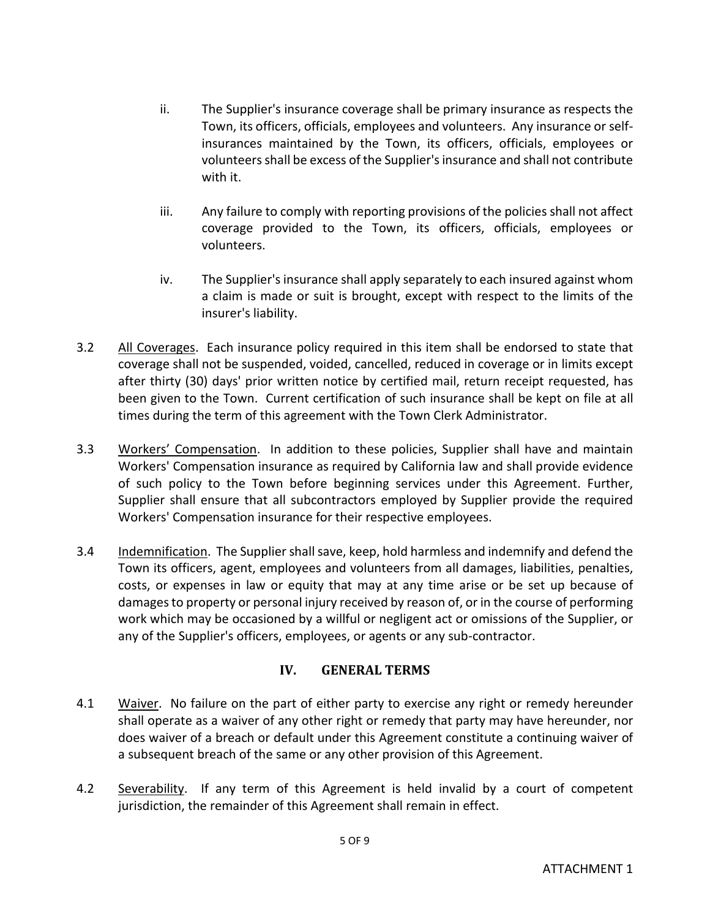- ii. The Supplier's insurance coverage shall be primary insurance as respects the Town, its officers, officials, employees and volunteers. Any insurance or selfinsurances maintained by the Town, its officers, officials, employees or volunteers shall be excess of the Supplier's insurance and shall not contribute with it.
- iii. Any failure to comply with reporting provisions of the policies shall not affect coverage provided to the Town, its officers, officials, employees or volunteers.
- iv. The Supplier's insurance shall apply separately to each insured against whom a claim is made or suit is brought, except with respect to the limits of the insurer's liability.
- 3.2 All Coverages. Each insurance policy required in this item shall be endorsed to state that coverage shall not be suspended, voided, cancelled, reduced in coverage or in limits except after thirty (30) days' prior written notice by certified mail, return receipt requested, has been given to the Town. Current certification of such insurance shall be kept on file at all times during the term of this agreement with the Town Clerk Administrator.
- 3.3 Workers' Compensation. In addition to these policies, Supplier shall have and maintain Workers' Compensation insurance as required by California law and shall provide evidence of such policy to the Town before beginning services under this Agreement. Further, Supplier shall ensure that all subcontractors employed by Supplier provide the required Workers' Compensation insurance for their respective employees.
- 3.4 Indemnification. The Suppliershall save, keep, hold harmless and indemnify and defend the Town its officers, agent, employees and volunteers from all damages, liabilities, penalties, costs, or expenses in law or equity that may at any time arise or be set up because of damages to property or personal injury received by reason of, or in the course of performing work which may be occasioned by a willful or negligent act or omissions of the Supplier, or any of the Supplier's officers, employees, or agents or any sub-contractor.

# **IV. GENERAL TERMS**

- 4.1 Waiver. No failure on the part of either party to exercise any right or remedy hereunder shall operate as a waiver of any other right or remedy that party may have hereunder, nor does waiver of a breach or default under this Agreement constitute a continuing waiver of a subsequent breach of the same or any other provision of this Agreement.
- 4.2 Severability. If any term of this Agreement is held invalid by a court of competent jurisdiction, the remainder of this Agreement shall remain in effect.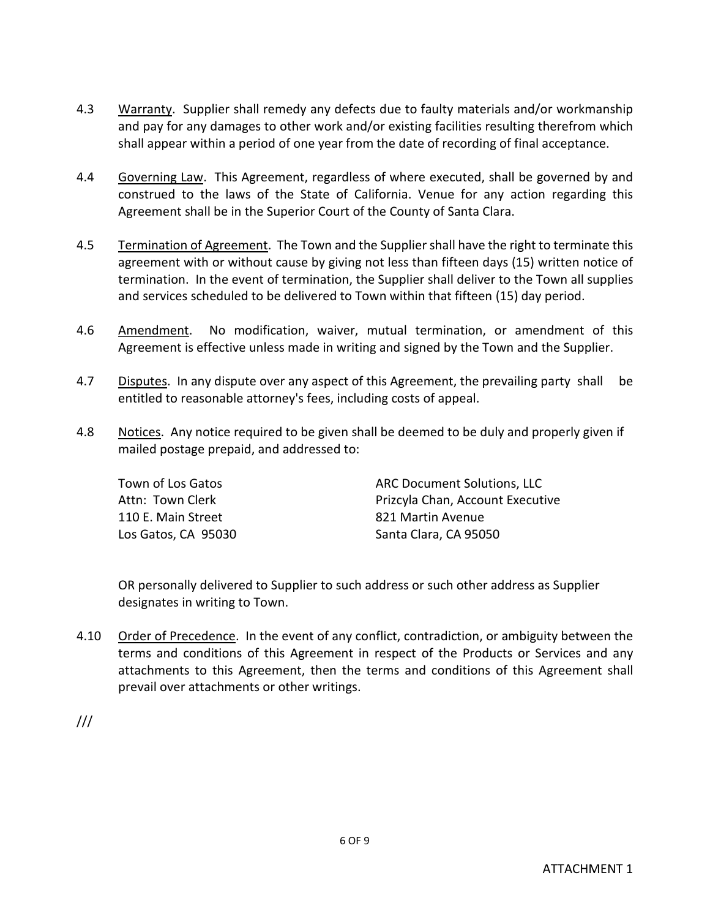- 4.3 Warranty. Supplier shall remedy any defects due to faulty materials and/or workmanship and pay for any damages to other work and/or existing facilities resulting therefrom which shall appear within a period of one year from the date of recording of final acceptance.
- 4.4 Governing Law. This Agreement, regardless of where executed, shall be governed by and construed to the laws of the State of California. Venue for any action regarding this Agreement shall be in the Superior Court of the County of Santa Clara.
- 4.5 Termination of Agreement. The Town and the Supplier shall have the right to terminate this agreement with or without cause by giving not less than fifteen days (15) written notice of termination. In the event of termination, the Supplier shall deliver to the Town all supplies and services scheduled to be delivered to Town within that fifteen (15) day period.
- 4.6 Amendment. No modification, waiver, mutual termination, or amendment of this Agreement is effective unless made in writing and signed by the Town and the Supplier.
- 4.7 Disputes. In any dispute over any aspect of this Agreement, the prevailing party shall be entitled to reasonable attorney's fees, including costs of appeal.
- 4.8 Notices. Any notice required to be given shall be deemed to be duly and properly given if mailed postage prepaid, and addressed to:

| Town of Los Gatos   | <b>ARC Document Solutions, LLC</b> |
|---------------------|------------------------------------|
| Attn: Town Clerk    | Prizcyla Chan, Account Executive   |
| 110 E. Main Street  | 821 Martin Avenue                  |
| Los Gatos, CA 95030 | Santa Clara, CA 95050              |

OR personally delivered to Supplier to such address or such other address as Supplier designates in writing to Town.

4.10 Order of Precedence. In the event of any conflict, contradiction, or ambiguity between the terms and conditions of this Agreement in respect of the Products or Services and any attachments to this Agreement, then the terms and conditions of this Agreement shall prevail over attachments or other writings.

6 OF 9

///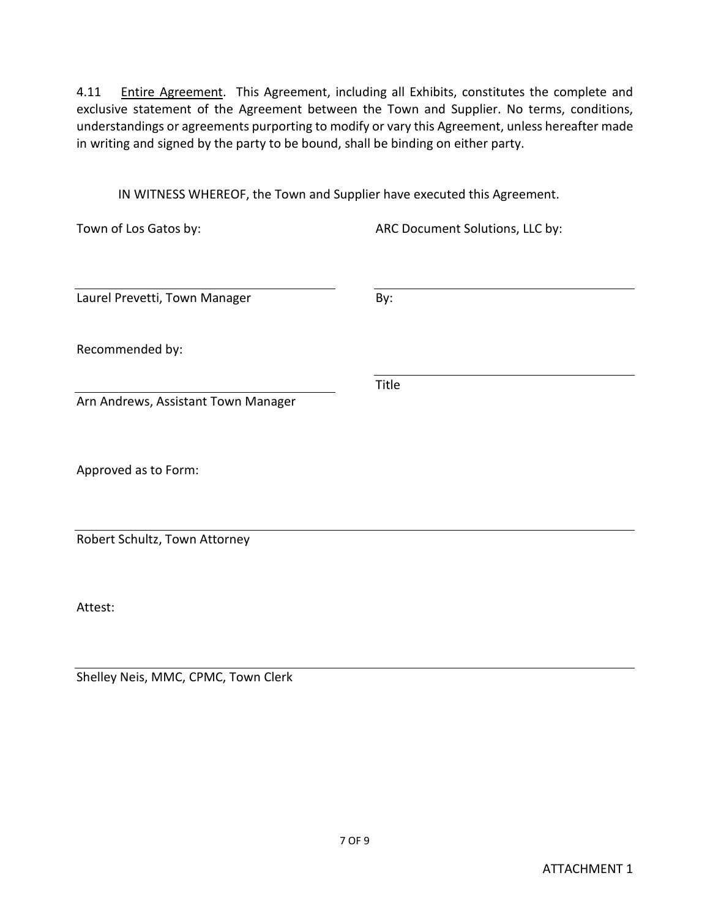4.11 Entire Agreement. This Agreement, including all Exhibits, constitutes the complete and exclusive statement of the Agreement between the Town and Supplier. No terms, conditions, understandings or agreements purporting to modify or vary this Agreement, unless hereafter made in writing and signed by the party to be bound, shall be binding on either party.

IN WITNESS WHEREOF, the Town and Supplier have executed this Agreement.

| Town of Los Gatos by:               | ARC Document Solutions, LLC by: |
|-------------------------------------|---------------------------------|
|                                     |                                 |
| Laurel Prevetti, Town Manager       | By:                             |
| Recommended by:                     |                                 |
|                                     | Title                           |
| Arn Andrews, Assistant Town Manager |                                 |
|                                     |                                 |
| Approved as to Form:                |                                 |
|                                     |                                 |
| Robert Schultz, Town Attorney       |                                 |
|                                     |                                 |
|                                     |                                 |

Attest:

Shelley Neis, MMC, CPMC, Town Clerk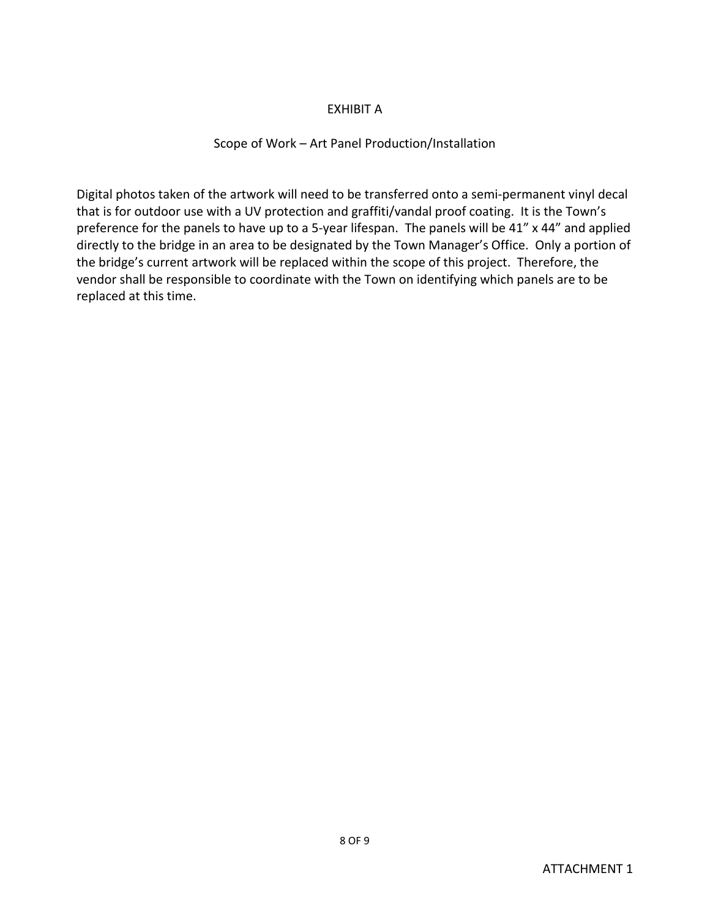### EXHIBIT A

### Scope of Work – Art Panel Production/Installation

Digital photos taken of the artwork will need to be transferred onto a semi-permanent vinyl decal that is for outdoor use with a UV protection and graffiti/vandal proof coating. It is the Town's preference for the panels to have up to a 5-year lifespan. The panels will be 41" x 44" and applied directly to the bridge in an area to be designated by the Town Manager's Office. Only a portion of the bridge's current artwork will be replaced within the scope of this project. Therefore, the vendor shall be responsible to coordinate with the Town on identifying which panels are to be replaced at this time.